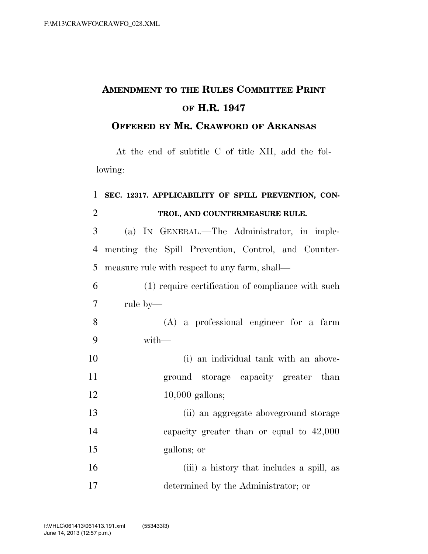## **AMENDMENT TO THE RULES COMMITTEE PRINT OF H.R. 1947**

## **OFFERED BY MR. CRAWFORD OF ARKANSAS**

At the end of subtitle C of title XII, add the following:

## **SEC. 12317. APPLICABILITY OF SPILL PREVENTION, CON-TROL, AND COUNTERMEASURE RULE.**

 (a) IN GENERAL.—The Administrator, in imple- menting the Spill Prevention, Control, and Counter-measure rule with respect to any farm, shall—

 (1) require certification of compliance with such rule by—

 (A) a professional engineer for a farm with—

 (i) an individual tank with an above- ground storage capacity greater than 12 10,000 gallons;

 (ii) an aggregate aboveground storage capacity greater than or equal to 42,000 gallons; or

 (iii) a history that includes a spill, as determined by the Administrator; or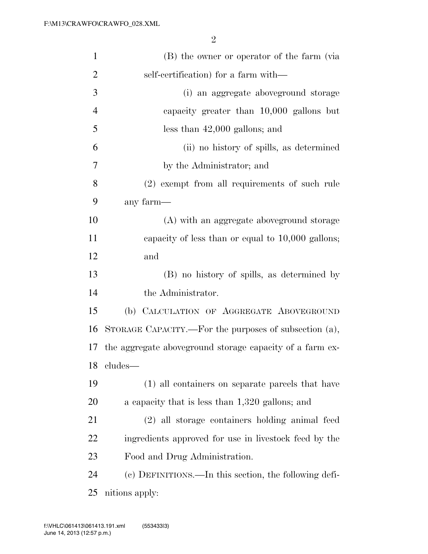| $\mathbf{1}$   | (B) the owner or operator of the farm (via                |
|----------------|-----------------------------------------------------------|
| $\overline{2}$ | self-certification) for a farm with—                      |
| 3              | (i) an aggregate above ground storage                     |
| $\overline{4}$ | capacity greater than 10,000 gallons but                  |
| 5              | less than $42,000$ gallons; and                           |
| 6              | (ii) no history of spills, as determined                  |
| 7              | by the Administrator; and                                 |
| 8              | (2) exempt from all requirements of such rule             |
| 9              | any farm—                                                 |
| 10             | (A) with an aggregate above ground storage                |
| 11             | capacity of less than or equal to $10,000$ gallons;       |
| 12             | and                                                       |
| 13             | (B) no history of spills, as determined by                |
| 14             | the Administrator.                                        |
| 15             | (b) CALCULATION OF AGGREGATE ABOVEGROUND                  |
| 16             | STORAGE CAPACITY.—For the purposes of subsection (a),     |
| 17             | the aggregate above ground storage capacity of a farm ex- |
|                | 18 cludes—                                                |
| 19             | (1) all containers on separate parcels that have          |
| 20             | a capacity that is less than 1,320 gallons; and           |
| 21             | (2) all storage containers holding animal feed            |
| 22             | ingredients approved for use in livestock feed by the     |
| 23             | Food and Drug Administration.                             |
| 24             | (c) DEFINITIONS.—In this section, the following defi-     |
| 25             | nitions apply:                                            |